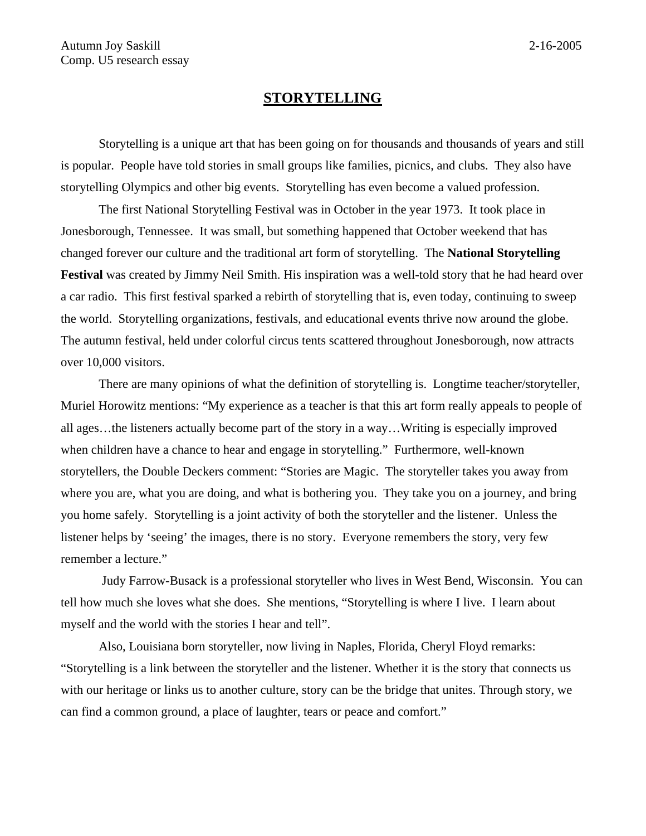## **STORYTELLING**

Storytelling is a unique art that has been going on for thousands and thousands of years and still is popular. People have told stories in small groups like families, picnics, and clubs. They also have storytelling Olympics and other big events. Storytelling has even become a valued profession.

The first National Storytelling Festival was in October in the year 1973. It took place in Jonesborough, Tennessee. It was small, but something happened that October weekend that has changed forever our culture and the traditional art form of storytelling. The **National Storytelling Festival** was created by Jimmy Neil Smith. His inspiration was a well-told story that he had heard over a car radio. This first festival sparked a rebirth of storytelling that is, even today, continuing to sweep the world. Storytelling organizations, festivals, and educational events thrive now around the globe. The autumn festival, held under colorful circus tents scattered throughout Jonesborough, now attracts over 10,000 visitors.

There are many opinions of what the definition of storytelling is. Longtime teacher/storyteller, Muriel Horowitz mentions: "My experience as a teacher is that this art form really appeals to people of all ages…the listeners actually become part of the story in a way…Writing is especially improved when children have a chance to hear and engage in storytelling." Furthermore, well-known storytellers, the Double Deckers comment: "Stories are Magic. The storyteller takes you away from where you are, what you are doing, and what is bothering you. They take you on a journey, and bring you home safely. Storytelling is a joint activity of both the storyteller and the listener. Unless the listener helps by 'seeing' the images, there is no story. Everyone remembers the story, very few remember a lecture."

Judy Farrow-Busack is a professional storyteller who lives in West Bend, Wisconsin. You can tell how much she loves what she does. She mentions, "Storytelling is where I live. I learn about myself and the world with the stories I hear and tell".

Also, Louisiana born storyteller, now living in Naples, Florida, Cheryl Floyd remarks: "Storytelling is a link between the storyteller and the listener. Whether it is the story that connects us with our heritage or links us to another culture, story can be the bridge that unites. Through story, we can find a common ground, a place of laughter, tears or peace and comfort."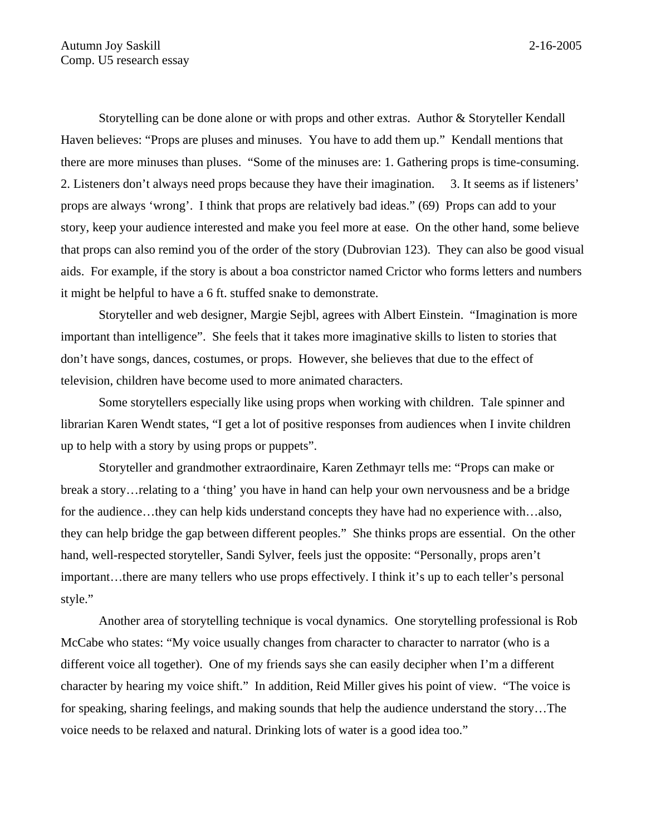Storytelling can be done alone or with props and other extras. Author & Storyteller Kendall Haven believes: "Props are pluses and minuses. You have to add them up." Kendall mentions that there are more minuses than pluses. "Some of the minuses are: 1. Gathering props is time-consuming. 2. Listeners don't always need props because they have their imagination. 3. It seems as if listeners' props are always 'wrong'. I think that props are relatively bad ideas." (69) Props can add to your story, keep your audience interested and make you feel more at ease. On the other hand, some believe that props can also remind you of the order of the story (Dubrovian 123). They can also be good visual aids. For example, if the story is about a boa constrictor named Crictor who forms letters and numbers it might be helpful to have a 6 ft. stuffed snake to demonstrate.

Storyteller and web designer, Margie Sejbl, agrees with Albert Einstein. "Imagination is more important than intelligence". She feels that it takes more imaginative skills to listen to stories that don't have songs, dances, costumes, or props. However, she believes that due to the effect of television, children have become used to more animated characters.

Some storytellers especially like using props when working with children. Tale spinner and librarian Karen Wendt states, "I get a lot of positive responses from audiences when I invite children up to help with a story by using props or puppets".

Storyteller and grandmother extraordinaire, Karen Zethmayr tells me: "Props can make or break a story…relating to a 'thing' you have in hand can help your own nervousness and be a bridge for the audience...they can help kids understand concepts they have had no experience with...also, they can help bridge the gap between different peoples." She thinks props are essential. On the other hand, well-respected storyteller, Sandi Sylver, feels just the opposite: "Personally, props aren't important…there are many tellers who use props effectively. I think it's up to each teller's personal style."

Another area of storytelling technique is vocal dynamics. One storytelling professional is Rob McCabe who states: "My voice usually changes from character to character to narrator (who is a different voice all together). One of my friends says she can easily decipher when I'm a different character by hearing my voice shift." In addition, Reid Miller gives his point of view. "The voice is for speaking, sharing feelings, and making sounds that help the audience understand the story…The voice needs to be relaxed and natural. Drinking lots of water is a good idea too."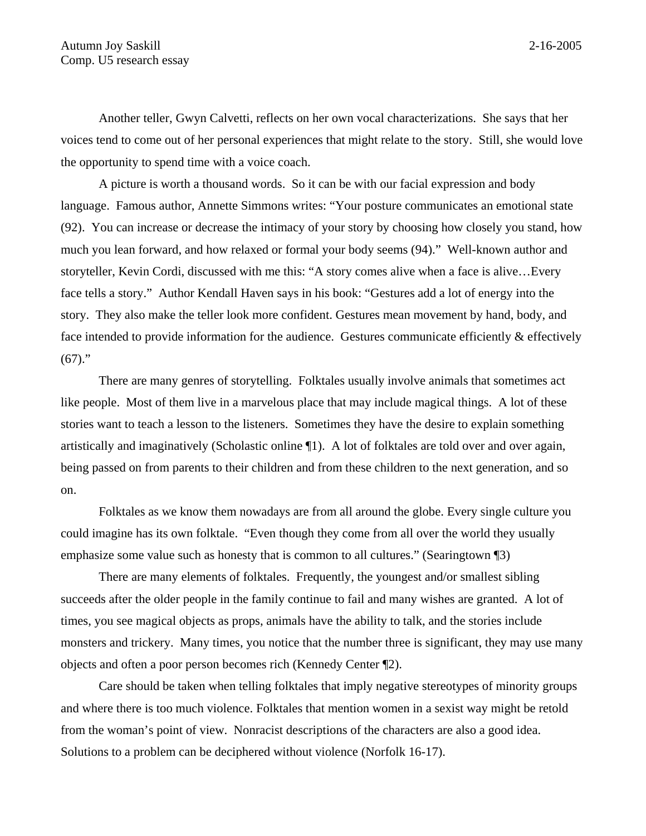Another teller, Gwyn Calvetti, reflects on her own vocal characterizations. She says that her voices tend to come out of her personal experiences that might relate to the story. Still, she would love the opportunity to spend time with a voice coach.

A picture is worth a thousand words. So it can be with our facial expression and body language. Famous author, Annette Simmons writes: "Your posture communicates an emotional state (92). You can increase or decrease the intimacy of your story by choosing how closely you stand, how much you lean forward, and how relaxed or formal your body seems (94)." Well-known author and storyteller, Kevin Cordi, discussed with me this: "A story comes alive when a face is alive…Every face tells a story." Author Kendall Haven says in his book: "Gestures add a lot of energy into the story. They also make the teller look more confident. Gestures mean movement by hand, body, and face intended to provide information for the audience. Gestures communicate efficiently & effectively  $(67)$ ."

There are many genres of storytelling. Folktales usually involve animals that sometimes act like people. Most of them live in a marvelous place that may include magical things. A lot of these stories want to teach a lesson to the listeners. Sometimes they have the desire to explain something artistically and imaginatively (Scholastic online ¶1). A lot of folktales are told over and over again, being passed on from parents to their children and from these children to the next generation, and so on.

Folktales as we know them nowadays are from all around the globe. Every single culture you could imagine has its own folktale. "Even though they come from all over the world they usually emphasize some value such as honesty that is common to all cultures." (Searingtown ¶3)

There are many elements of folktales. Frequently, the youngest and/or smallest sibling succeeds after the older people in the family continue to fail and many wishes are granted. A lot of times, you see magical objects as props, animals have the ability to talk, and the stories include monsters and trickery. Many times, you notice that the number three is significant, they may use many objects and often a poor person becomes rich (Kennedy Center ¶2).

Care should be taken when telling folktales that imply negative stereotypes of minority groups and where there is too much violence. Folktales that mention women in a sexist way might be retold from the woman's point of view. Nonracist descriptions of the characters are also a good idea. Solutions to a problem can be deciphered without violence (Norfolk 16-17).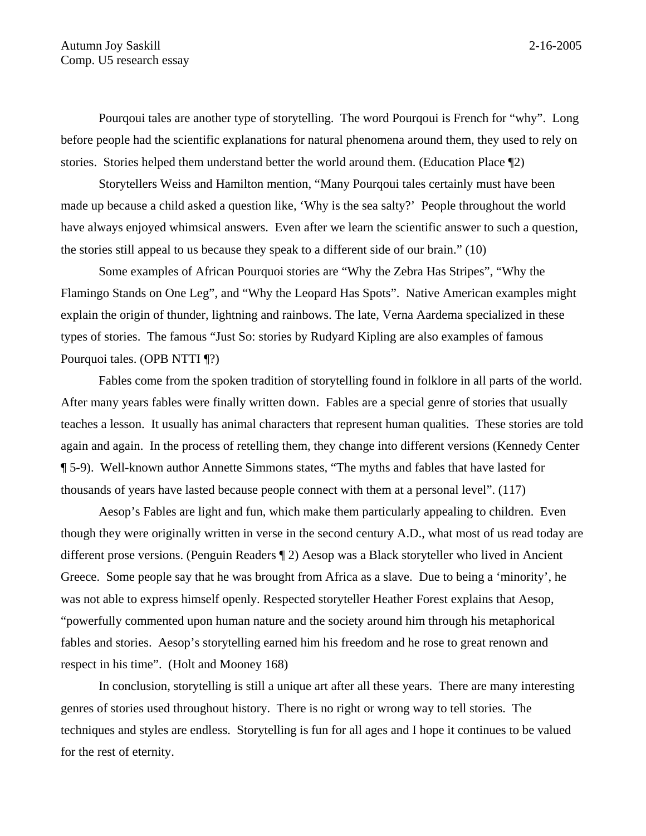Pourqoui tales are another type of storytelling. The word Pourqoui is French for "why". Long before people had the scientific explanations for natural phenomena around them, they used to rely on stories. Stories helped them understand better the world around them. (Education Place ¶2)

Storytellers Weiss and Hamilton mention, "Many Pourqoui tales certainly must have been made up because a child asked a question like, 'Why is the sea salty?' People throughout the world have always enjoyed whimsical answers. Even after we learn the scientific answer to such a question, the stories still appeal to us because they speak to a different side of our brain." (10)

Some examples of African Pourquoi stories are "Why the Zebra Has Stripes", "Why the Flamingo Stands on One Leg", and "Why the Leopard Has Spots". Native American examples might explain the origin of thunder, lightning and rainbows. The late, Verna Aardema specialized in these types of stories. The famous "Just So: stories by Rudyard Kipling are also examples of famous Pourquoi tales. (OPB NTTI ¶?)

Fables come from the spoken tradition of storytelling found in folklore in all parts of the world. After many years fables were finally written down. Fables are a special genre of stories that usually teaches a lesson. It usually has animal characters that represent human qualities. These stories are told again and again. In the process of retelling them, they change into different versions (Kennedy Center ¶ 5-9). Well-known author Annette Simmons states, "The myths and fables that have lasted for thousands of years have lasted because people connect with them at a personal level". (117)

Aesop's Fables are light and fun, which make them particularly appealing to children. Even though they were originally written in verse in the second century A.D., what most of us read today are different prose versions. (Penguin Readers ¶ 2) Aesop was a Black storyteller who lived in Ancient Greece. Some people say that he was brought from Africa as a slave. Due to being a 'minority', he was not able to express himself openly. Respected storyteller Heather Forest explains that Aesop, "powerfully commented upon human nature and the society around him through his metaphorical fables and stories. Aesop's storytelling earned him his freedom and he rose to great renown and respect in his time". (Holt and Mooney 168)

In conclusion, storytelling is still a unique art after all these years. There are many interesting genres of stories used throughout history. There is no right or wrong way to tell stories. The techniques and styles are endless. Storytelling is fun for all ages and I hope it continues to be valued for the rest of eternity.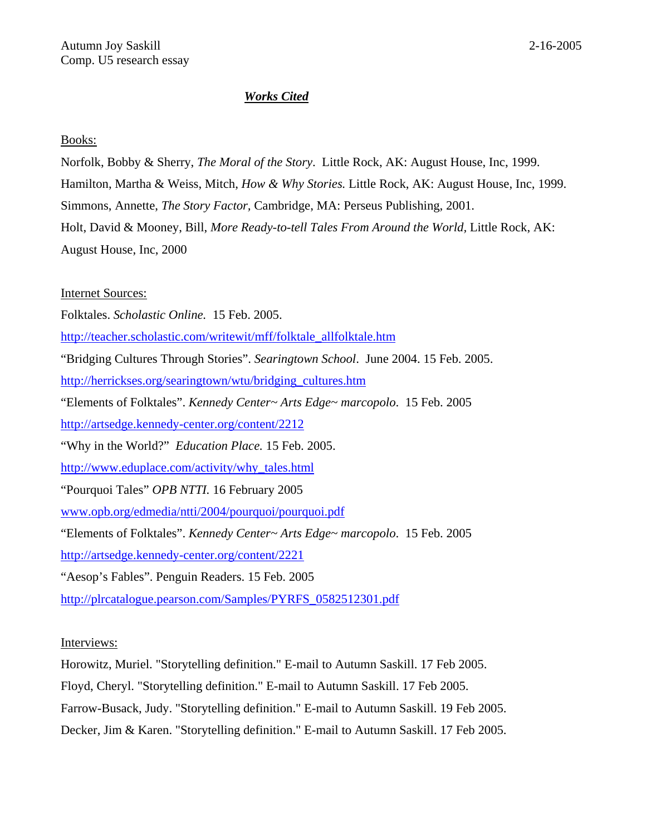## *Works Cited*

## Books:

Norfolk, Bobby & Sherry, *The Moral of the Story*. Little Rock, AK: August House, Inc, 1999. Hamilton, Martha & Weiss, Mitch, *How & Why Stories.* Little Rock, AK: August House, Inc, 1999. Simmons, Annette, *The Story Factor,* Cambridge, MA: Perseus Publishing, 2001. Holt, David & Mooney, Bill, *More Ready-to-tell Tales From Around the World,* Little Rock, AK: August House, Inc, 2000

Internet Sources:

Folktales. *Scholastic Online.* 15 Feb. 2005.

[http://teacher.scholastic.com/writewit/mff/folktale\\_allfolktale.htm](http://teacher.scholastic.com/writewit/mff/folktale_allfolktale.htm)

"Bridging Cultures Through Stories". *Searingtown School*. June 2004. 15 Feb. 2005.

[http://herrickses.org/searingtown/wtu/bridging\\_cultures.htm](http://herrickses.org/searingtown/wtu/bridging%1f_cultures.htm)

"Elements of Folktales". *Kennedy Center~ Arts Edge~ marcopolo*. 15 Feb. 2005

<http://artsedge.kennedy-center.org/content/2212>

"Why in the World?" *Education Place.* 15 Feb. 2005.

[http://www.eduplace.com/activity/why\\_tales.html](http://www.eduplace.com/activity/why_tales.html)

"Pourquoi Tales" *OPB NTTI.* 16 February 2005

[www.opb.org/edmedia/ntti/2004/pourquoi/pourquoi.pdf](http://www.opb.org/edmedia/ntti/2004/pourquoi/pourquoi.pdf)

"Elements of Folktales". *Kennedy Center~ Arts Edge~ marcopolo*. 15 Feb. 2005

<http://artsedge.kennedy-center.org/content/2221>

"Aesop's Fables". Penguin Readers. 15 Feb. 2005

[http://plrcatalogue.pearson.com/Samples/PYRFS\\_0582512301.pdf](http://plrcatalogue.pearson.com/Samples/PYRFS_0582512301.pdf)

Interviews:

Horowitz, Muriel. "Storytelling definition." E-mail to Autumn Saskill. 17 Feb 2005.

Floyd, Cheryl. "Storytelling definition." E-mail to Autumn Saskill. 17 Feb 2005.

Farrow-Busack, Judy. "Storytelling definition." E-mail to Autumn Saskill. 19 Feb 2005.

Decker, Jim & Karen. "Storytelling definition." E-mail to Autumn Saskill. 17 Feb 2005.